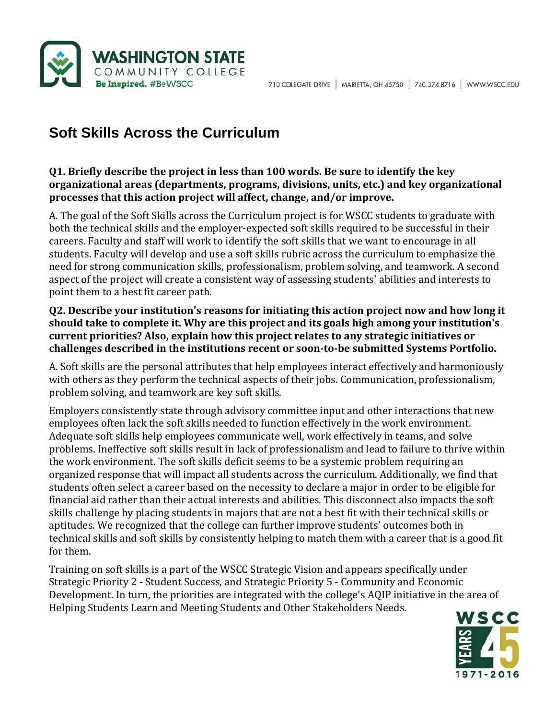

# **Soft Skills Across the Curriculum**

### **Q1. Briefly describe the project in less than 100 words. Be sure to identify the key organizational areas (departments, programs, divisions, units, etc.) and key organizational processes that this action project will affect, change, and/or improve.**

A. The goal of the Soft Skills across the Curriculum project is for WSCC students to graduate with both the technical skills and the employer-expected soft skills required to be successful in their careers. Faculty and staff will work to identify the soft skills that we want to encourage in all students. Faculty will develop and use a soft skills rubric across the curriculum to emphasize the need for strong communication skills, professionalism, problem solving, and teamwork. A second aspect of the project will create a consistent way of assessing students' abilities and interests to point them to a best fit career path.

#### **Q2. Describe your institution's reasons for initiating this action project now and how long it should take to complete it. Why are this project and its goals high among your institution's current priorities? Also, explain how this project relates to any strategic initiatives or challenges described in the institutions recent or soon-to-be submitted Systems Portfolio.**

A. Soft skills are the personal attributes that help employees interact effectively and harmoniously with others as they perform the technical aspects of their jobs. Communication, professionalism, problem solving, and teamwork are key soft skills.

Employers consistently state through advisory committee input and other interactions that new employees often lack the soft skills needed to function effectively in the work environment. Adequate soft skills help employees communicate well, work effectively in teams, and solve problems. Ineffective soft skills result in lack of professionalism and lead to failure to thrive within the work environment. The soft skills deficit seems to be a systemic problem requiring an organized response that will impact all students across the curriculum. Additionally, we find that students often select a career based on the necessity to declare a major in order to be eligible for financial aid rather than their actual interests and abilities. This disconnect also impacts the soft skills challenge by placing students in majors that are not a best fit with their technical skills or aptitudes. We recognized that the college can further improve students' outcomes both in technical skills and soft skills by consistently helping to match them with a career that is a good fit for them.

Training on soft skills is a part of the WSCC Strategic Vision and appears specifically under Strategic Priority 2 - Student Success, and Strategic Priority 5 - Community and Economic Development. In turn, the priorities are integrated with the college's AQIP initiative in the area of Helping Students Learn and Meeting Students and Other Stakeholders Needs.

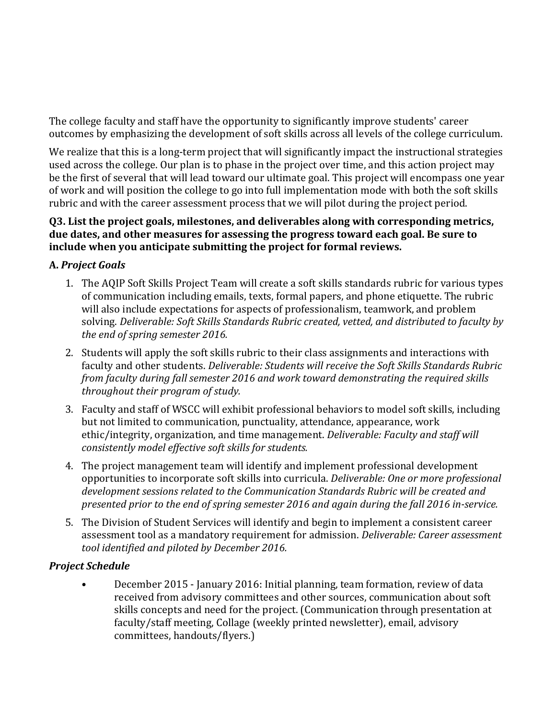The college faculty and staff have the opportunity to significantly improve students' career outcomes by emphasizing the development of soft skills across all levels of the college curriculum.

We realize that this is a long-term project that will significantly impact the instructional strategies used across the college. Our plan is to phase in the project over time, and this action project may be the first of several that will lead toward our ultimate goal. This project will encompass one year of work and will position the college to go into full implementation mode with both the soft skills rubric and with the career assessment process that we will pilot during the project period.

#### **Q3. List the project goals, milestones, and deliverables along with corresponding metrics, due dates, and other measures for assessing the progress toward each goal. Be sure to include when you anticipate submitting the project for formal reviews.**

## **A.** *Project Goals*

- 1. The AQIP Soft Skills Project Team will create a soft skills standards rubric for various types of communication including emails, texts, formal papers, and phone etiquette. The rubric will also include expectations for aspects of professionalism, teamwork, and problem solving. *Deliverable: Soft Skills Standards Rubric created, vetted, and distributed to faculty by the end of spring semester 2016.*
- 2. Students will apply the soft skills rubric to their class assignments and interactions with faculty and other students. *Deliverable: Students will receive the Soft Skills Standards Rubric from faculty during fall semester 2016 and work toward demonstrating the required skills throughout their program of study.*
- 3. Faculty and staff of WSCC will exhibit professional behaviors to model soft skills, including but not limited to communication, punctuality, attendance, appearance, work ethic/integrity, organization, and time management. *Deliverable: Faculty and staff will consistently model effective soft skills for students.*
- 4. The project management team will identify and implement professional development opportunities to incorporate soft skills into curricula. *Deliverable: One or more professional development sessions related to the Communication Standards Rubric will be created and presented prior to the end of spring semester 2016 and again during the fall 2016 in-service.*
- 5. The Division of Student Services will identify and begin to implement a consistent career assessment tool as a mandatory requirement for admission. *Deliverable: Career assessment tool identified and piloted by December 2016.*

## *Project Schedule*

• December 2015 - January 2016: Initial planning, team formation, review of data received from advisory committees and other sources, communication about soft skills concepts and need for the project. (Communication through presentation at faculty/staff meeting, Collage (weekly printed newsletter), email, advisory committees, handouts/flyers.)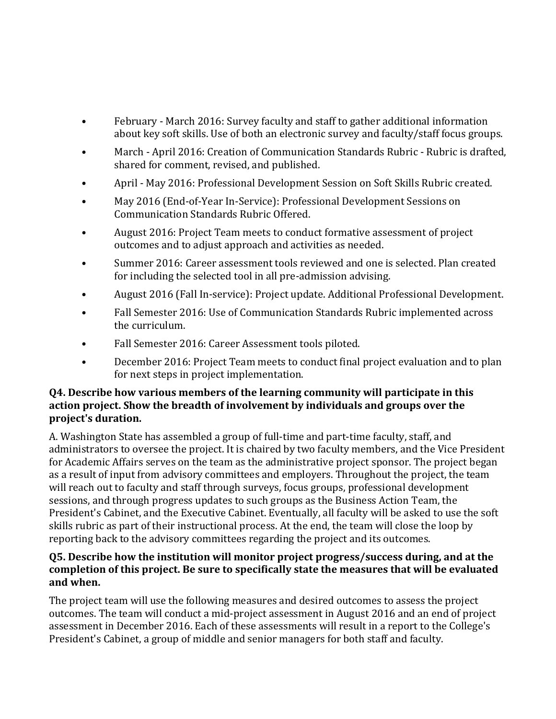- February March 2016: Survey faculty and staff to gather additional information about key soft skills. Use of both an electronic survey and faculty/staff focus groups.
- March April 2016: Creation of Communication Standards Rubric Rubric is drafted, shared for comment, revised, and published.
- April May 2016: Professional Development Session on Soft Skills Rubric created.
- May 2016 (End-of-Year In-Service): Professional Development Sessions on Communication Standards Rubric Offered.
- August 2016: Project Team meets to conduct formative assessment of project outcomes and to adjust approach and activities as needed.
- Summer 2016: Career assessment tools reviewed and one is selected. Plan created for including the selected tool in all pre-admission advising.
- August 2016 (Fall In-service): Project update. Additional Professional Development.
- Fall Semester 2016: Use of Communication Standards Rubric implemented across the curriculum.
- Fall Semester 2016: Career Assessment tools piloted.
- December 2016: Project Team meets to conduct final project evaluation and to plan for next steps in project implementation.

### **Q4. Describe how various members of the learning community will participate in this action project. Show the breadth of involvement by individuals and groups over the project's duration.**

A. Washington State has assembled a group of full-time and part-time faculty, staff, and administrators to oversee the project. It is chaired by two faculty members, and the Vice President for Academic Affairs serves on the team as the administrative project sponsor. The project began as a result of input from advisory committees and employers. Throughout the project, the team will reach out to faculty and staff through surveys, focus groups, professional development sessions, and through progress updates to such groups as the Business Action Team, the President's Cabinet, and the Executive Cabinet. Eventually, all faculty will be asked to use the soft skills rubric as part of their instructional process. At the end, the team will close the loop by reporting back to the advisory committees regarding the project and its outcomes.

### **Q5. Describe how the institution will monitor project progress/success during, and at the completion of this project. Be sure to specifically state the measures that will be evaluated and when.**

The project team will use the following measures and desired outcomes to assess the project outcomes. The team will conduct a mid-project assessment in August 2016 and an end of project assessment in December 2016. Each of these assessments will result in a report to the College's President's Cabinet, a group of middle and senior managers for both staff and faculty.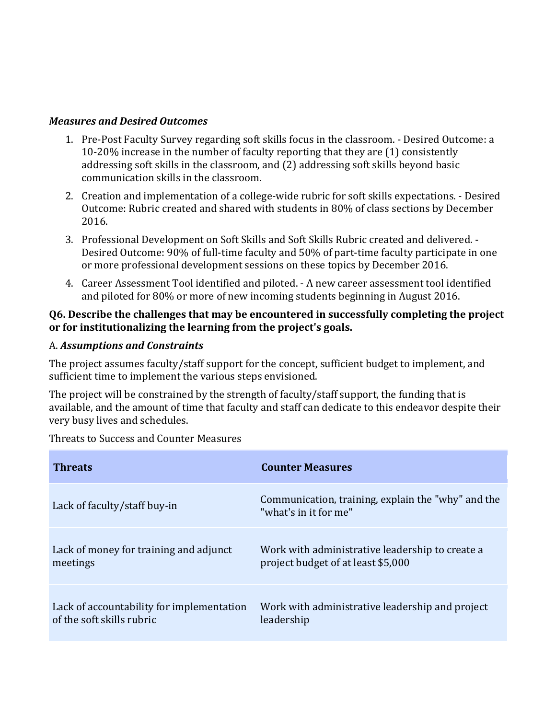#### *Measures and Desired Outcomes*

- 1. Pre-Post Faculty Survey regarding soft skills focus in the classroom. Desired Outcome: a 10-20% increase in the number of faculty reporting that they are (1) consistently addressing soft skills in the classroom, and (2) addressing soft skills beyond basic communication skills in the classroom.
- 2. Creation and implementation of a college-wide rubric for soft skills expectations. Desired Outcome: Rubric created and shared with students in 80% of class sections by December 2016.
- 3. Professional Development on Soft Skills and Soft Skills Rubric created and delivered. Desired Outcome: 90% of full-time faculty and 50% of part-time faculty participate in one or more professional development sessions on these topics by December 2016.
- 4. Career Assessment Tool identified and piloted. A new career assessment tool identified and piloted for 80% or more of new incoming students beginning in August 2016.

#### **Q6. Describe the challenges that may be encountered in successfully completing the project or for institutionalizing the learning from the project's goals.**

#### A. *Assumptions and Constraints*

The project assumes faculty/staff support for the concept, sufficient budget to implement, and sufficient time to implement the various steps envisioned.

The project will be constrained by the strength of faculty/staff support, the funding that is available, and the amount of time that faculty and staff can dedicate to this endeavor despite their very busy lives and schedules.

Threats to Success and Counter Measures

| <b>Threats</b>                            | <b>Counter Measures</b>                                                     |
|-------------------------------------------|-----------------------------------------------------------------------------|
| Lack of faculty/staff buy-in              | Communication, training, explain the "why" and the<br>"what's in it for me" |
| Lack of money for training and adjunct    | Work with administrative leadership to create a                             |
| meetings                                  | project budget of at least \$5,000                                          |
| Lack of accountability for implementation | Work with administrative leadership and project                             |
| of the soft skills rubric                 | leadership                                                                  |